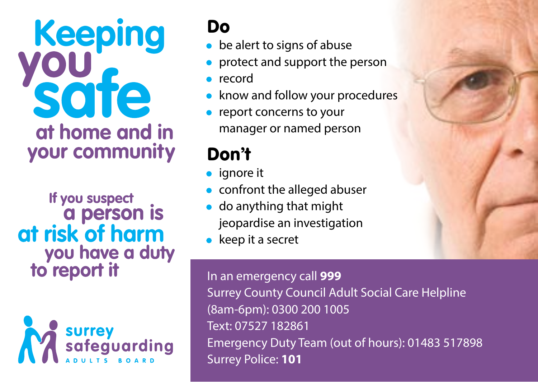# **Keeping** sate at home and in your community

If you suspect a person is at risk of harm you have a duty to report it



### Do

- be alert to signs of abuse
- protect and support the person
- record
- know and follow your procedures
- report concerns to your manager or named person

## Don't

- ignore it
- confront the alleged abuser
- do anything that might jeopardise an investigation
- keep it a secret

In an emergency call **999** Surrey County Council Adult Social Care Helpline (8am-6pm): 0300 200 1005 Text: 07527 182861 Emergency Duty Team (out of hours): 01483 517898 Surrey Police: **101**